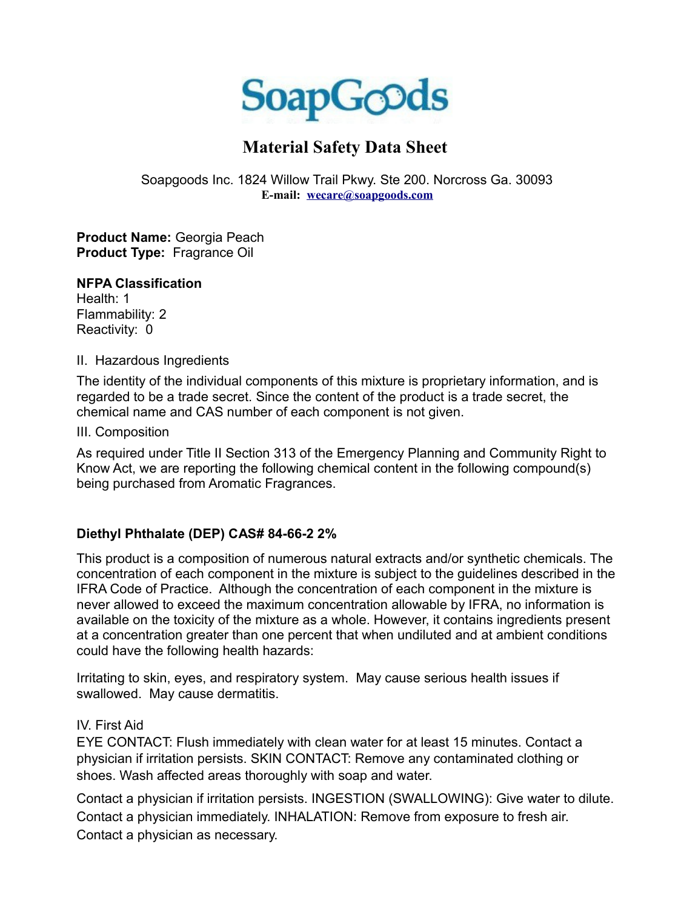

# **Material Safety Data Sheet**

Soapgoods Inc. 1824 Willow Trail Pkwy. Ste 200. Norcross Ga. 30093 **E-mail: [wecare@soapgoods.com](mailto:wecare@soapgoods.com)**

**Product Name:** Georgia Peach **Product Type:** Fragrance Oil

#### **NFPA Classification**

Health: 1 Flammability: 2 Reactivity: 0

II. Hazardous Ingredients

The identity of the individual components of this mixture is proprietary information, and is regarded to be a trade secret. Since the content of the product is a trade secret, the chemical name and CAS number of each component is not given.

III. Composition

As required under Title II Section 313 of the Emergency Planning and Community Right to Know Act, we are reporting the following chemical content in the following compound(s) being purchased from Aromatic Fragrances.

## **Diethyl Phthalate (DEP) CAS# 84-66-2 2%**

This product is a composition of numerous natural extracts and/or synthetic chemicals. The concentration of each component in the mixture is subject to the guidelines described in the IFRA Code of Practice. Although the concentration of each component in the mixture is never allowed to exceed the maximum concentration allowable by IFRA, no information is available on the toxicity of the mixture as a whole. However, it contains ingredients present at a concentration greater than one percent that when undiluted and at ambient conditions could have the following health hazards:

Irritating to skin, eyes, and respiratory system. May cause serious health issues if swallowed. May cause dermatitis.

### IV. First Aid

EYE CONTACT: Flush immediately with clean water for at least 15 minutes. Contact a physician if irritation persists. SKIN CONTACT: Remove any contaminated clothing or shoes. Wash affected areas thoroughly with soap and water.

Contact a physician if irritation persists. INGESTION (SWALLOWING): Give water to dilute. Contact a physician immediately. INHALATION: Remove from exposure to fresh air. Contact a physician as necessary.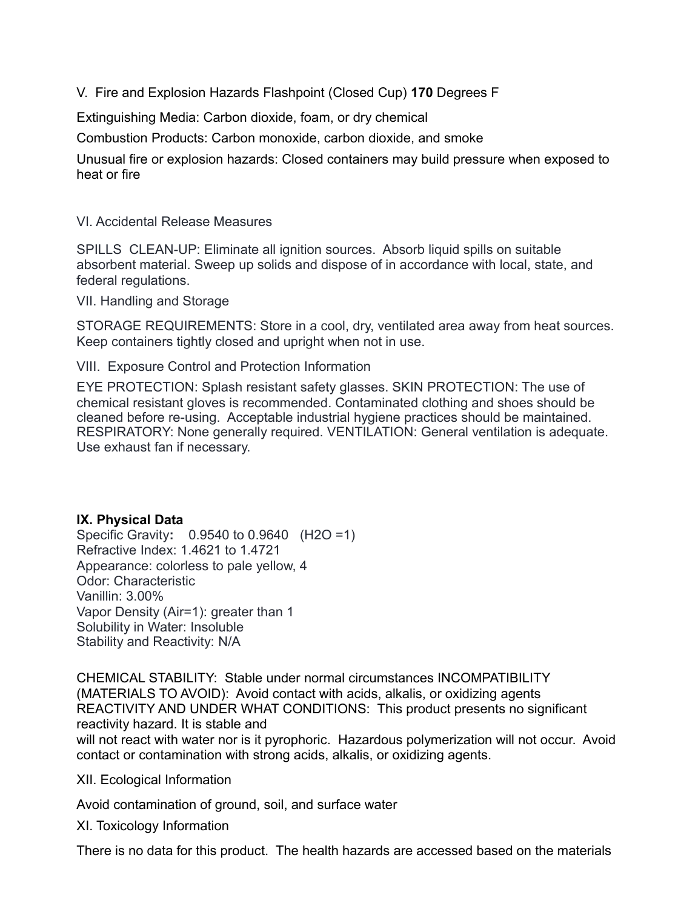V. Fire and Explosion Hazards Flashpoint (Closed Cup) **170** Degrees F

Extinguishing Media: Carbon dioxide, foam, or dry chemical

Combustion Products: Carbon monoxide, carbon dioxide, and smoke

Unusual fire or explosion hazards: Closed containers may build pressure when exposed to heat or fire

VI. Accidental Release Measures

SPILLS CLEAN-UP: Eliminate all ignition sources. Absorb liquid spills on suitable absorbent material. Sweep up solids and dispose of in accordance with local, state, and federal regulations.

VII. Handling and Storage

STORAGE REQUIREMENTS: Store in a cool, dry, ventilated area away from heat sources. Keep containers tightly closed and upright when not in use.

VIII. Exposure Control and Protection Information

EYE PROTECTION: Splash resistant safety glasses. SKIN PROTECTION: The use of chemical resistant gloves is recommended. Contaminated clothing and shoes should be cleaned before re-using. Acceptable industrial hygiene practices should be maintained. RESPIRATORY: None generally required. VENTILATION: General ventilation is adequate. Use exhaust fan if necessary.

#### **IX. Physical Data**

Specific Gravity**:** 0.9540 to 0.9640 (H2O =1) Refractive Index: 1.4621 to 1.4721 Appearance: colorless to pale yellow, 4 Odor: Characteristic Vanillin: 3.00% Vapor Density (Air=1): greater than 1 Solubility in Water: Insoluble Stability and Reactivity: N/A

CHEMICAL STABILITY: Stable under normal circumstances INCOMPATIBILITY (MATERIALS TO AVOID): Avoid contact with acids, alkalis, or oxidizing agents REACTIVITY AND UNDER WHAT CONDITIONS: This product presents no significant reactivity hazard. It is stable and

will not react with water nor is it pyrophoric. Hazardous polymerization will not occur. Avoid contact or contamination with strong acids, alkalis, or oxidizing agents.

XII. Ecological Information

Avoid contamination of ground, soil, and surface water

XI. Toxicology Information

There is no data for this product. The health hazards are accessed based on the materials